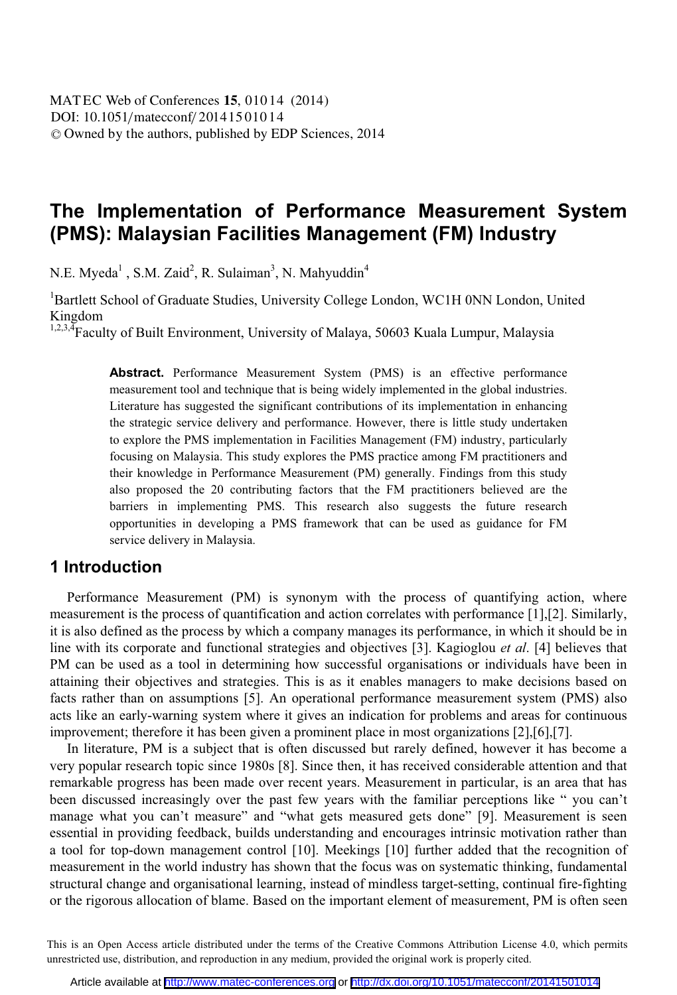# **The Implementation of Performance Measurement System (PMS): Malaysian Facilities Management (FM) Industry**

N.E. Myeda<sup>1</sup>, S.M. Zaid<sup>2</sup>, R. Sulaiman<sup>3</sup>, N. Mahyuddin<sup>4</sup>

<sup>1</sup>Bartlett School of Graduate Studies, University College London, WC1H 0NN London, United Kingdom

<sup>1,2,3,4</sup>Faculty of Built Environment, University of Malaya, 50603 Kuala Lumpur, Malaysia

**Abstract.** Performance Measurement System (PMS) is an effective performance measurement tool and technique that is being widely implemented in the global industries. Literature has suggested the significant contributions of its implementation in enhancing the strategic service delivery and performance. However, there is little study undertaken to explore the PMS implementation in Facilities Management (FM) industry, particularly focusing on Malaysia. This study explores the PMS practice among FM practitioners and their knowledge in Performance Measurement (PM) generally. Findings from this study also proposed the 20 contributing factors that the FM practitioners believed are the barriers in implementing PMS. This research also suggests the future research opportunities in developing a PMS framework that can be used as guidance for FM service delivery in Malaysia.

### **1 Introduction**

Performance Measurement (PM) is synonym with the process of quantifying action, where measurement is the process of quantification and action correlates with performance [1],[2]. Similarly, it is also defined as the process by which a company manages its performance, in which it should be in line with its corporate and functional strategies and objectives [3]. Kagioglou *et al*. [4] believes that PM can be used as a tool in determining how successful organisations or individuals have been in attaining their objectives and strategies. This is as it enables managers to make decisions based on facts rather than on assumptions [5]. An operational performance measurement system (PMS) also acts like an early-warning system where it gives an indication for problems and areas for continuous improvement; therefore it has been given a prominent place in most organizations [2],[6],[7].

In literature, PM is a subject that is often discussed but rarely defined, however it has become a very popular research topic since 1980s [8]. Since then, it has received considerable attention and that remarkable progress has been made over recent years. Measurement in particular, is an area that has been discussed increasingly over the past few years with the familiar perceptions like " you can't manage what you can't measure" and "what gets measured gets done" [9]. Measurement is seen essential in providing feedback, builds understanding and encourages intrinsic motivation rather than a tool for top-down management control [10]. Meekings [10] further added that the recognition of measurement in the world industry has shown that the focus was on systematic thinking, fundamental structural change and organisational learning, instead of mindless target-setting, continual fire-fighting or the rigorous allocation of blame. Based on the important element of measurement, PM is often seen

This is an Open Access article distributed under the terms of the Creative Commons Attribution License 4.0, which permits unrestricted use, distribution, and reproduction in any medium, provided the original work is properly cited.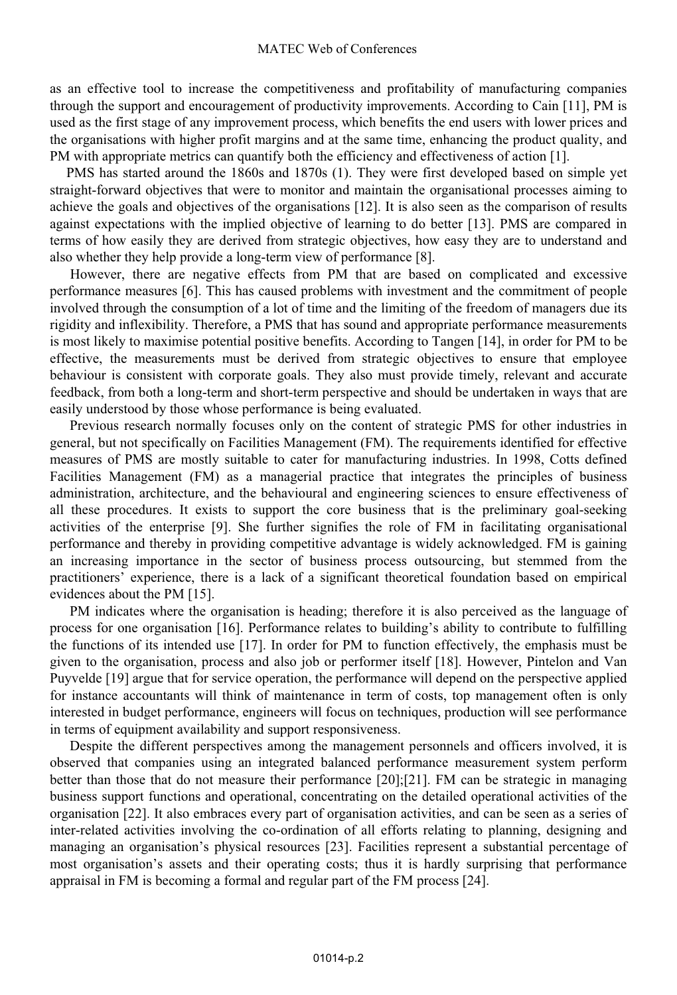#### MATEC Web of Conferences

as an effective tool to increase the competitiveness and profitability of manufacturing companies through the support and encouragement of productivity improvements. According to Cain [11], PM is used as the first stage of any improvement process, which benefits the end users with lower prices and the organisations with higher profit margins and at the same time, enhancing the product quality, and PM with appropriate metrics can quantify both the efficiency and effectiveness of action [1].

PMS has started around the 1860s and 1870s (1). They were first developed based on simple yet straight-forward objectives that were to monitor and maintain the organisational processes aiming to achieve the goals and objectives of the organisations [12]. It is also seen as the comparison of results against expectations with the implied objective of learning to do better [13]. PMS are compared in terms of how easily they are derived from strategic objectives, how easy they are to understand and also whether they help provide a long-term view of performance [8].

 However, there are negative effects from PM that are based on complicated and excessive performance measures [6]. This has caused problems with investment and the commitment of people involved through the consumption of a lot of time and the limiting of the freedom of managers due its rigidity and inflexibility. Therefore, a PMS that has sound and appropriate performance measurements is most likely to maximise potential positive benefits. According to Tangen [14], in order for PM to be effective, the measurements must be derived from strategic objectives to ensure that employee behaviour is consistent with corporate goals. They also must provide timely, relevant and accurate feedback, from both a long-term and short-term perspective and should be undertaken in ways that are easily understood by those whose performance is being evaluated.

Previous research normally focuses only on the content of strategic PMS for other industries in general, but not specifically on Facilities Management (FM). The requirements identified for effective measures of PMS are mostly suitable to cater for manufacturing industries. In 1998, Cotts defined Facilities Management (FM) as a managerial practice that integrates the principles of business administration, architecture, and the behavioural and engineering sciences to ensure effectiveness of all these procedures. It exists to support the core business that is the preliminary goal-seeking activities of the enterprise [9]. She further signifies the role of FM in facilitating organisational performance and thereby in providing competitive advantage is widely acknowledged. FM is gaining an increasing importance in the sector of business process outsourcing, but stemmed from the practitioners' experience, there is a lack of a significant theoretical foundation based on empirical evidences about the PM [15].

PM indicates where the organisation is heading; therefore it is also perceived as the language of process for one organisation [16]. Performance relates to building's ability to contribute to fulfilling the functions of its intended use [17]. In order for PM to function effectively, the emphasis must be given to the organisation, process and also job or performer itself [18]. However, Pintelon and Van Puyvelde [19] argue that for service operation, the performance will depend on the perspective applied for instance accountants will think of maintenance in term of costs, top management often is only interested in budget performance, engineers will focus on techniques, production will see performance in terms of equipment availability and support responsiveness.

Despite the different perspectives among the management personnels and officers involved, it is observed that companies using an integrated balanced performance measurement system perform better than those that do not measure their performance [20];[21]. FM can be strategic in managing business support functions and operational, concentrating on the detailed operational activities of the organisation [22]. It also embraces every part of organisation activities, and can be seen as a series of inter-related activities involving the co-ordination of all efforts relating to planning, designing and managing an organisation's physical resources [23]. Facilities represent a substantial percentage of most organisation's assets and their operating costs; thus it is hardly surprising that performance appraisal in FM is becoming a formal and regular part of the FM process [24].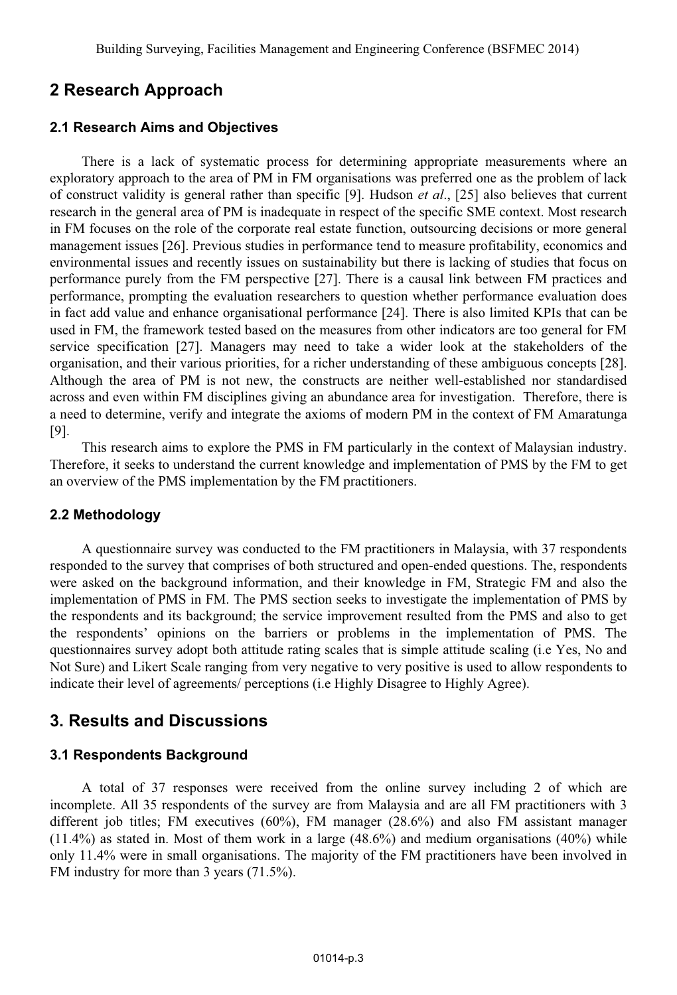# **2 Research Approach**

#### **2.1 Research Aims and Objectives**

There is a lack of systematic process for determining appropriate measurements where an exploratory approach to the area of PM in FM organisations was preferred one as the problem of lack of construct validity is general rather than specific [9]. Hudson *et al*., [25] also believes that current research in the general area of PM is inadequate in respect of the specific SME context. Most research in FM focuses on the role of the corporate real estate function, outsourcing decisions or more general management issues [26]. Previous studies in performance tend to measure profitability, economics and environmental issues and recently issues on sustainability but there is lacking of studies that focus on performance purely from the FM perspective [27]. There is a causal link between FM practices and performance, prompting the evaluation researchers to question whether performance evaluation does in fact add value and enhance organisational performance [24]. There is also limited KPIs that can be used in FM, the framework tested based on the measures from other indicators are too general for FM service specification [27]. Managers may need to take a wider look at the stakeholders of the organisation, and their various priorities, for a richer understanding of these ambiguous concepts [28]. Although the area of PM is not new, the constructs are neither well-established nor standardised across and even within FM disciplines giving an abundance area for investigation. Therefore, there is a need to determine, verify and integrate the axioms of modern PM in the context of FM Amaratunga [9].

This research aims to explore the PMS in FM particularly in the context of Malaysian industry. Therefore, it seeks to understand the current knowledge and implementation of PMS by the FM to get an overview of the PMS implementation by the FM practitioners.

### **2.2 Methodology**

A questionnaire survey was conducted to the FM practitioners in Malaysia, with 37 respondents responded to the survey that comprises of both structured and open-ended questions. The, respondents were asked on the background information, and their knowledge in FM, Strategic FM and also the implementation of PMS in FM. The PMS section seeks to investigate the implementation of PMS by the respondents and its background; the service improvement resulted from the PMS and also to get the respondents' opinions on the barriers or problems in the implementation of PMS. The questionnaires survey adopt both attitude rating scales that is simple attitude scaling (i.e Yes, No and Not Sure) and Likert Scale ranging from very negative to very positive is used to allow respondents to indicate their level of agreements/ perceptions (i.e Highly Disagree to Highly Agree).

# **3. Results and Discussions**

#### **3.1 Respondents Background**

A total of 37 responses were received from the online survey including 2 of which are incomplete. All 35 respondents of the survey are from Malaysia and are all FM practitioners with 3 different job titles; FM executives (60%), FM manager (28.6%) and also FM assistant manager  $(11.4\%)$  as stated in. Most of them work in a large  $(48.6\%)$  and medium organisations  $(40\%)$  while only 11.4% were in small organisations. The majority of the FM practitioners have been involved in FM industry for more than 3 years (71.5%).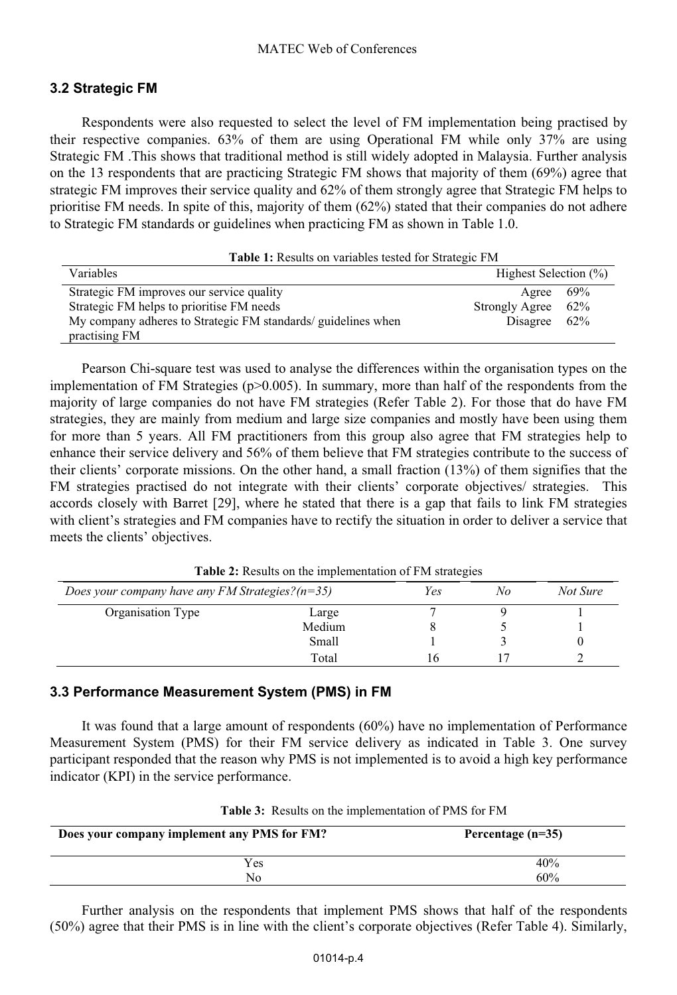#### **3.2 Strategic FM**

Respondents were also requested to select the level of FM implementation being practised by their respective companies. 63% of them are using Operational FM while only 37% are using Strategic FM .This shows that traditional method is still widely adopted in Malaysia. Further analysis on the 13 respondents that are practicing Strategic FM shows that majority of them (69%) agree that strategic FM improves their service quality and 62% of them strongly agree that Strategic FM helps to prioritise FM needs. In spite of this, majority of them (62%) stated that their companies do not adhere to Strategic FM standards or guidelines when practicing FM as shown in Table 1.0.

| <b>Table 1:</b> Results on variables tested for Strategic FM  |                              |  |  |  |
|---------------------------------------------------------------|------------------------------|--|--|--|
| Variables                                                     | Highest Selection (%)        |  |  |  |
| Strategic FM improves our service quality                     | 69%<br>Agree                 |  |  |  |
| Strategic FM helps to prioritise FM needs                     | <b>Strongly Agree</b><br>62% |  |  |  |
| My company adheres to Strategic FM standards/ guidelines when | Disagree<br>62%              |  |  |  |
| practising FM                                                 |                              |  |  |  |

Pearson Chi-square test was used to analyse the differences within the organisation types on the implementation of FM Strategies ( $p > 0.005$ ). In summary, more than half of the respondents from the majority of large companies do not have FM strategies (Refer Table 2). For those that do have FM strategies, they are mainly from medium and large size companies and mostly have been using them for more than 5 years. All FM practitioners from this group also agree that FM strategies help to enhance their service delivery and 56% of them believe that FM strategies contribute to the success of their clients' corporate missions. On the other hand, a small fraction (13%) of them signifies that the FM strategies practised do not integrate with their clients' corporate objectives/ strategies. This accords closely with Barret [29], where he stated that there is a gap that fails to link FM strategies with client's strategies and FM companies have to rectify the situation in order to deliver a service that meets the clients' objectives.

|                                                    |        | . . |    |          |
|----------------------------------------------------|--------|-----|----|----------|
| Does your company have any FM Strategies? $(n=35)$ |        | Yes | No | Not Sure |
| Organisation Type                                  | Large  |     |    |          |
|                                                    | Medium |     |    |          |
|                                                    | Small  |     |    |          |
|                                                    | Total  |     |    |          |
|                                                    |        |     |    |          |

**Table 2:** Results on the implementation of FM strategies

#### **3.3 Performance Measurement System (PMS) in FM**

It was found that a large amount of respondents (60%) have no implementation of Performance Measurement System (PMS) for their FM service delivery as indicated in Table 3. One survey participant responded that the reason why PMS is not implemented is to avoid a high key performance indicator (KPI) in the service performance.

| Does your company implement any PMS for FM? | Percentage $(n=35)$ |
|---------------------------------------------|---------------------|
| Yes                                         | 40%                 |
| No                                          | 60%                 |

**Table 3:** Results on the implementation of PMS for FM

Further analysis on the respondents that implement PMS shows that half of the respondents (50%) agree that their PMS is in line with the client's corporate objectives (Refer Table 4). Similarly,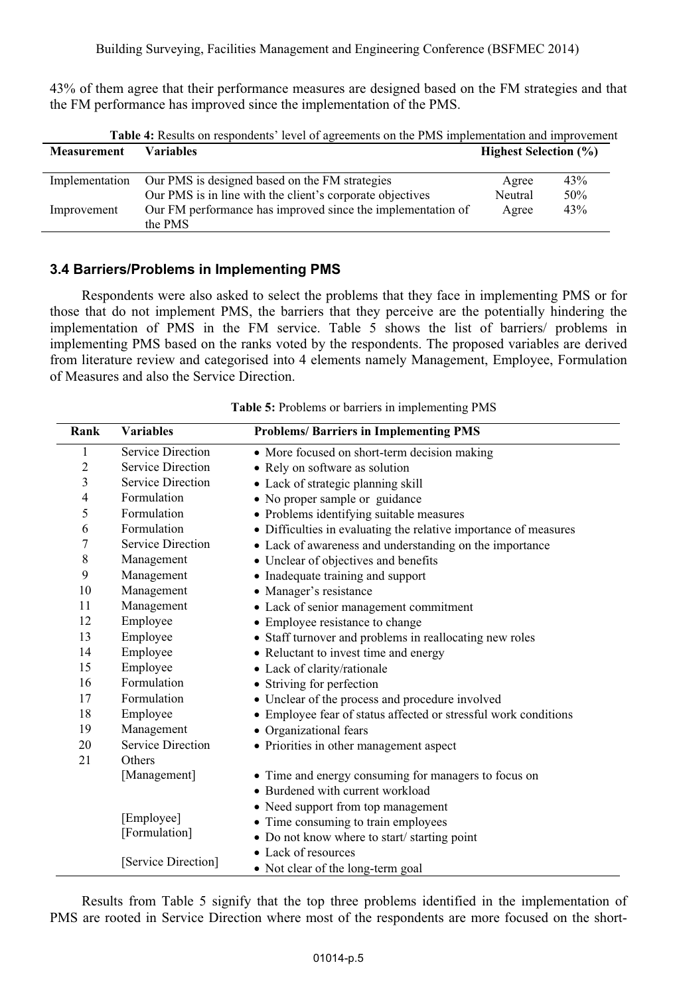43% of them agree that their performance measures are designed based on the FM strategies and that the FM performance has improved since the implementation of the PMS.

| <b>Table 4:</b> Results on respondents' level of agreements on the PMS implementation and improvement |                              |        |  |  |
|-------------------------------------------------------------------------------------------------------|------------------------------|--------|--|--|
| Variables                                                                                             | <b>Highest Selection (%)</b> |        |  |  |
|                                                                                                       |                              |        |  |  |
| Our PMS is designed based on the FM strategies                                                        | Agree                        | 43%    |  |  |
| Our PMS is in line with the client's corporate objectives                                             | Neutral                      | $50\%$ |  |  |
| Our FM performance has improved since the implementation of<br>the PMS                                | Agree                        | 43%    |  |  |
|                                                                                                       |                              |        |  |  |

#### **3.4 Barriers/Problems in Implementing PMS**

Respondents were also asked to select the problems that they face in implementing PMS or for those that do not implement PMS, the barriers that they perceive are the potentially hindering the implementation of PMS in the FM service. Table 5 shows the list of barriers/ problems in implementing PMS based on the ranks voted by the respondents. The proposed variables are derived from literature review and categorised into 4 elements namely Management, Employee, Formulation of Measures and also the Service Direction.

| Rank                | <b>Variables</b>                            | <b>Problems/Barriers in Implementing PMS</b>                     |
|---------------------|---------------------------------------------|------------------------------------------------------------------|
| 1                   | Service Direction                           | • More focused on short-term decision making                     |
| $\overline{2}$      | Service Direction                           | • Rely on software as solution                                   |
| 3                   | Service Direction                           | • Lack of strategic planning skill                               |
| 4                   | Formulation                                 | • No proper sample or guidance                                   |
| 5                   | Formulation                                 | • Problems identifying suitable measures                         |
| 6                   | Formulation                                 | • Difficulties in evaluating the relative importance of measures |
| 7                   | Service Direction                           | • Lack of awareness and understanding on the importance          |
| 8                   | Management                                  | • Unclear of objectives and benefits                             |
| 9                   | Management                                  | • Inadequate training and support                                |
| 10                  | Management                                  | • Manager's resistance                                           |
| 11                  | Management                                  | • Lack of senior management commitment                           |
| 12                  | Employee                                    | • Employee resistance to change                                  |
| 13                  | Employee                                    | • Staff turnover and problems in reallocating new roles          |
| 14                  | Employee                                    | • Reluctant to invest time and energy                            |
| 15                  | Employee                                    | • Lack of clarity/rationale                                      |
| 16                  | Formulation                                 | • Striving for perfection                                        |
| 17                  | Formulation                                 | • Unclear of the process and procedure involved                  |
| 18                  | Employee                                    | • Employee fear of status affected or stressful work conditions  |
| 19                  | Management                                  | • Organizational fears                                           |
| 20                  | <b>Service Direction</b>                    | • Priorities in other management aspect                          |
| 21                  | Others                                      |                                                                  |
|                     | [Management]                                | • Time and energy consuming for managers to focus on             |
|                     |                                             | • Burdened with current workload                                 |
|                     |                                             | • Need support from top management                               |
| [Employee]          |                                             | • Time consuming to train employees                              |
| [Formulation]       | • Do not know where to start/starting point |                                                                  |
|                     |                                             | • Lack of resources                                              |
| [Service Direction] | • Not clear of the long-term goal           |                                                                  |

**Table 5:** Problems or barriers in implementing PMS

Results from Table 5 signify that the top three problems identified in the implementation of PMS are rooted in Service Direction where most of the respondents are more focused on the short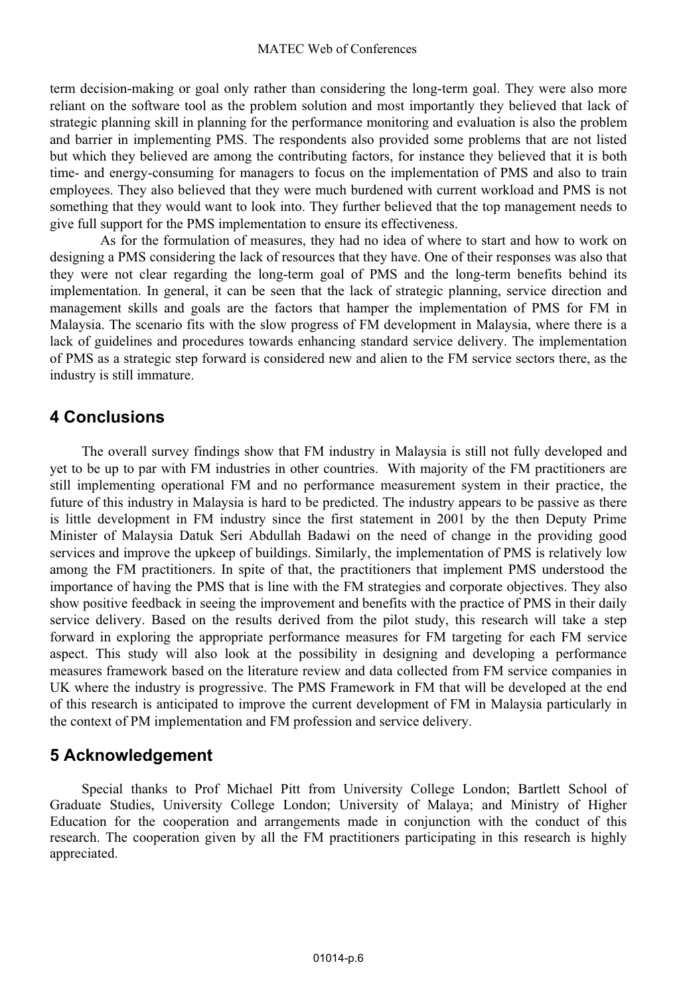term decision-making or goal only rather than considering the long-term goal. They were also more reliant on the software tool as the problem solution and most importantly they believed that lack of strategic planning skill in planning for the performance monitoring and evaluation is also the problem and barrier in implementing PMS. The respondents also provided some problems that are not listed but which they believed are among the contributing factors, for instance they believed that it is both time- and energy-consuming for managers to focus on the implementation of PMS and also to train employees. They also believed that they were much burdened with current workload and PMS is not something that they would want to look into. They further believed that the top management needs to give full support for the PMS implementation to ensure its effectiveness.

As for the formulation of measures, they had no idea of where to start and how to work on designing a PMS considering the lack of resources that they have. One of their responses was also that they were not clear regarding the long-term goal of PMS and the long-term benefits behind its implementation. In general, it can be seen that the lack of strategic planning, service direction and management skills and goals are the factors that hamper the implementation of PMS for FM in Malaysia. The scenario fits with the slow progress of FM development in Malaysia, where there is a lack of guidelines and procedures towards enhancing standard service delivery. The implementation of PMS as a strategic step forward is considered new and alien to the FM service sectors there, as the industry is still immature.

# **4 Conclusions**

The overall survey findings show that FM industry in Malaysia is still not fully developed and yet to be up to par with FM industries in other countries. With majority of the FM practitioners are still implementing operational FM and no performance measurement system in their practice, the future of this industry in Malaysia is hard to be predicted. The industry appears to be passive as there is little development in FM industry since the first statement in 2001 by the then Deputy Prime Minister of Malaysia Datuk Seri Abdullah Badawi on the need of change in the providing good services and improve the upkeep of buildings. Similarly, the implementation of PMS is relatively low among the FM practitioners. In spite of that, the practitioners that implement PMS understood the importance of having the PMS that is line with the FM strategies and corporate objectives. They also show positive feedback in seeing the improvement and benefits with the practice of PMS in their daily service delivery. Based on the results derived from the pilot study, this research will take a step forward in exploring the appropriate performance measures for FM targeting for each FM service aspect. This study will also look at the possibility in designing and developing a performance measures framework based on the literature review and data collected from FM service companies in UK where the industry is progressive. The PMS Framework in FM that will be developed at the end of this research is anticipated to improve the current development of FM in Malaysia particularly in the context of PM implementation and FM profession and service delivery.

# **5 Acknowledgement**

Special thanks to Prof Michael Pitt from University College London; Bartlett School of Graduate Studies, University College London; University of Malaya; and Ministry of Higher Education for the cooperation and arrangements made in conjunction with the conduct of this research. The cooperation given by all the FM practitioners participating in this research is highly appreciated.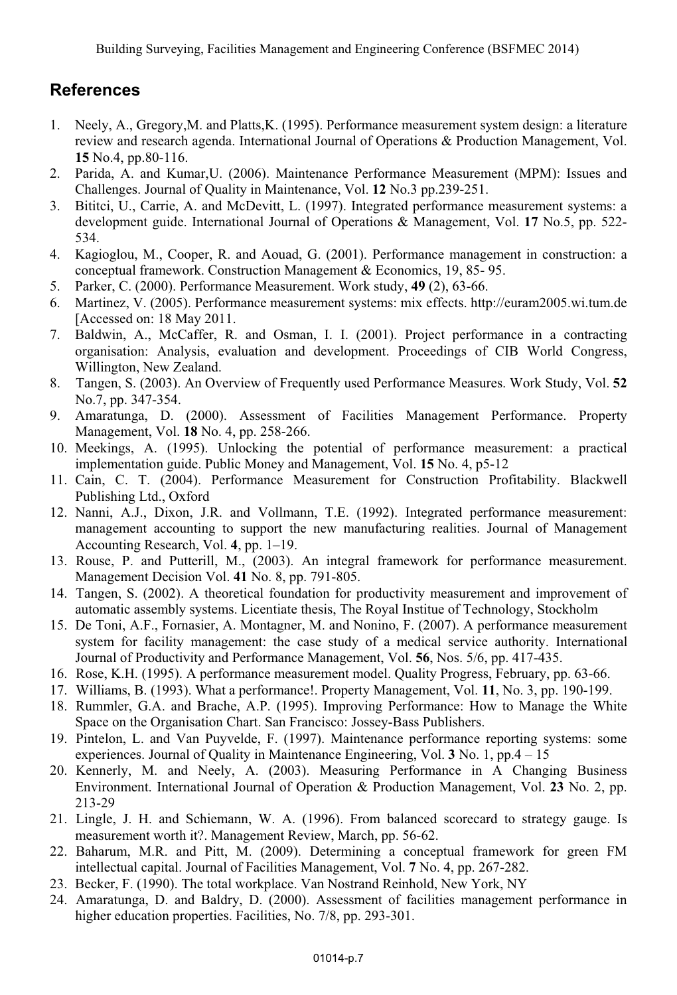# **References**

- 1. Neely, A., Gregory,M. and Platts,K. (1995). Performance measurement system design: a literature review and research agenda. International Journal of Operations & Production Management, Vol. **15** No.4, pp.80-116.
- 2. Parida, A. and Kumar,U. (2006). Maintenance Performance Measurement (MPM): Issues and Challenges. Journal of Quality in Maintenance, Vol. **12** No.3 pp.239-251.
- 3. Bititci, U., Carrie, A. and McDevitt, L. (1997). Integrated performance measurement systems: a development guide. International Journal of Operations & Management, Vol. **17** No.5, pp. 522- 534.
- 4. Kagioglou, M., Cooper, R. and Aouad, G. (2001). Performance management in construction: a conceptual framework. Construction Management & Economics, 19, 85- 95.
- 5. Parker, C. (2000). Performance Measurement. Work study, **49** (2), 63-66.
- 6. Martinez, V. (2005). Performance measurement systems: mix effects. http://euram2005.wi.tum.de [Accessed on: 18 May 2011.
- 7. Baldwin, A., McCaffer, R. and Osman, I. I. (2001). Project performance in a contracting organisation: Analysis, evaluation and development. Proceedings of CIB World Congress, Willington, New Zealand.
- 8. Tangen, S. (2003). An Overview of Frequently used Performance Measures. Work Study, Vol. **52** No.7, pp. 347-354.
- 9. Amaratunga, D. (2000). Assessment of Facilities Management Performance. Property Management, Vol. **18** No. 4, pp. 258-266.
- 10. Meekings, A. (1995). Unlocking the potential of performance measurement: a practical implementation guide. Public Money and Management, Vol. **15** No. 4, p5-12
- 11. Cain, C. T. (2004). Performance Measurement for Construction Profitability. Blackwell Publishing Ltd., Oxford
- 12. Nanni, A.J., Dixon, J.R. and Vollmann, T.E. (1992). Integrated performance measurement: management accounting to support the new manufacturing realities. Journal of Management Accounting Research, Vol. **4**, pp. 1–19.
- 13. Rouse, P. and Putterill, M., (2003). An integral framework for performance measurement. Management Decision Vol. **41** No. 8, pp. 791-805.
- 14. Tangen, S. (2002). A theoretical foundation for productivity measurement and improvement of automatic assembly systems. Licentiate thesis, The Royal Institue of Technology, Stockholm
- 15. De Toni, A.F., Fornasier, A. Montagner, M. and Nonino, F. (2007). A performance measurement system for facility management: the case study of a medical service authority. International Journal of Productivity and Performance Management, Vol. **56**, Nos. 5/6, pp. 417-435.
- 16. Rose, K.H. (1995). A performance measurement model. Quality Progress, February, pp. 63-66.
- 17. Williams, B. (1993). What a performance!. Property Management, Vol. **11**, No. 3, pp. 190-199.
- 18. Rummler, G.A. and Brache, A.P. (1995). Improving Performance: How to Manage the White Space on the Organisation Chart. San Francisco: Jossey-Bass Publishers.
- 19. Pintelon, L. and Van Puyvelde, F. (1997). Maintenance performance reporting systems: some experiences. Journal of Quality in Maintenance Engineering, Vol. **3** No. 1, pp.4 – 15
- 20. Kennerly, M. and Neely, A. (2003). Measuring Performance in A Changing Business Environment. International Journal of Operation & Production Management, Vol. **23** No. 2, pp. 213-29
- 21. Lingle, J. H. and Schiemann, W. A. (1996). From balanced scorecard to strategy gauge. Is measurement worth it?. Management Review, March, pp. 56-62.
- 22. Baharum, M.R. and Pitt, M. (2009). Determining a conceptual framework for green FM intellectual capital. Journal of Facilities Management, Vol. **7** No. 4, pp. 267-282.
- 23. Becker, F. (1990). The total workplace. Van Nostrand Reinhold, New York, NY
- 24. Amaratunga, D. and Baldry, D. (2000). Assessment of facilities management performance in higher education properties. Facilities, No. 7/8, pp. 293-301.